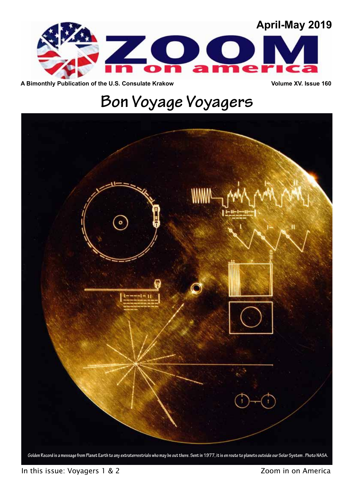

A Bimonthly Publication of the U.S. Consulate Krakow **Volume XV. Issue 160** 

# **Bon Voyage Voyagers**

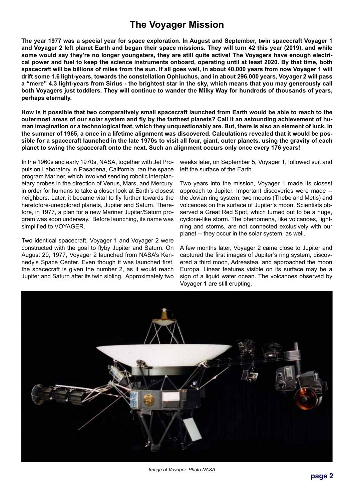### **The Voyager Mission**

**The year 1977 was a special year for space exploration. In August and September, twin spacecraft Voyager 1 and Voyager 2 left planet Earth and began their space missions. They will turn 42 this year (2019), and while some would say they're no longer youngsters, they are still quite active! The Voyagers have enough electrical power and fuel to keep the science instruments onboard, operating until at least 2020. By that time, both spacecraft will be billions of miles from the sun. If all goes well, in about 40,000 years from now Voyager 1 will drift some 1.6 light-years, towards the constellation Ophiuchus, and in about 296,000 years, Voyager 2 will pass a "mere" 4.3 light-years from Sirius - the brightest star in the sky, which means that you may generously call both Voyagers just toddlers. They will continue to wander the Milky Way for hundreds of thousands of years, perhaps eternally.** 

**How is it possible that two comparatively small spacecraft launched from Earth would be able to reach to the outermost areas of our solar system and fly by the farthest planets? Call it an astounding achievement of human imagination or a technological feat, which they unquestionably are. But, there is also an element of luck. In the summer of 1965, a once in a lifetime alignment was discovered. Calculations revealed that it would be possible for a spacecraft launched in the late 1970s to visit all four, giant, outer planets, using the gravity of each planet to swing the spacecraft onto the next. Such an alignment occurs only once every 176 years!**

In the 1960s and early 1970s, NASA, together with Jet Propulsion Laboratory in Pasadena, California, ran the space program Mariner, which involved sending robotic interplanetary probes in the direction of Venus, Mars, and Mercury, in order for humans to take a closer look at Earth's closest neighbors. Later, it became vital to fly further towards the heretofore-unexplored planets, Jupiter and Saturn. Therefore, in 1977, a plan for a new Mariner Jupiter/Saturn program was soon underway. Before launching, its name was simplified to VOYAGER.

Two identical spacecraft, Voyager 1 and Voyager 2 were constructed with the goal to flyby Jupiter and Saturn. On August 20, 1977, Voyager 2 launched from NASA's Kennedy's Space Center. Even though it was launched first, the spacecraft is given the number 2, as it would reach Jupiter and Saturn after its twin sibling. Approximately two

weeks later, on September 5, Voyager 1, followed suit and left the surface of the Earth.

Two years into the mission, Voyager 1 made its closest approach to Jupiter. Important discoveries were made - the Jovian ring system, two moons (Thebe and Metis) and volcanoes on the surface of Jupiter's moon. Scientists observed a Great Red Spot, which turned out to be a huge, cyclone-like storm. The phenomena, like volcanoes, lightning and storms, are not connected exclusively with our planet -- they occur in the solar system, as well.

A few months later, Voyager 2 came close to Jupiter and captured the first images of Jupiter's ring system, discovered a third moon, Adreastea, and approached the moon Europa. Linear features visible on its surface may be a sign of a liquid water ocean. The volcanoes observed by Voyager 1 are still erupting.



*Image of Voyager. Photo NASA*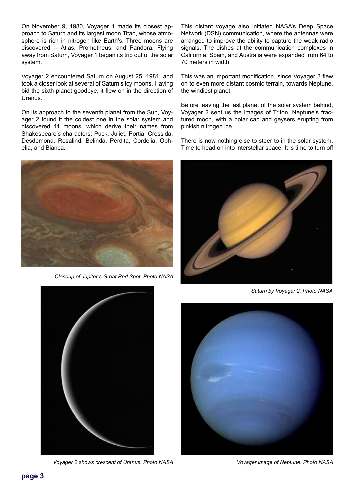On November 9, 1980, Voyager 1 made its closest approach to Saturn and its largest moon Titan, whose atmosphere is rich in nitrogen like Earth's. Three moons are discovered -- Atlas, Prometheus, and Pandora. Flying away from Saturn, Voyager 1 began its trip out of the solar system.

Voyager 2 encountered Saturn on August 25, 1981, and took a closer look at several of Saturn's icy moons. Having bid the sixth planet goodbye, it flew on in the direction of Uranus.

On its approach to the seventh planet from the Sun, Voyager 2 found it the coldest one in the solar system and discovered 11 moons, which derive their names from Shakespeare's characters: Puck, Juliet, Portia, Cressida, Desdemona, Rosalind, Belinda, Perdita, Cordelia, Ophelia, and Bianca.



*Closeup of Jupiter's Great Red Spot. Photo NASA*

This distant voyage also initiated NASA's Deep Space Network (DSN) communication, where the antennas were arranged to improve the ability to capture the weak radio signals. The dishes at the communication complexes in California, Spain, and Australia were expanded from 64 to 70 meters in width.

This was an important modification, since Voyager 2 flew on to even more distant cosmic terrain, towards Neptune, the windiest planet.

Before leaving the last planet of the solar system behind, Voyager 2 sent us the images of Triton, Neptune's fractured moon, with a polar cap and geysers erupting from pinkish nitrogen ice.

There is now nothing else to steer to in the solar system. Time to head on into interstellar space. It is time to turn off



*Saturn by Voyager 2. Photo NASA*



*Voyager 2 shows crescent of Uranus. Photo NASA*



*Voyager image of Neptune. Photo NASA*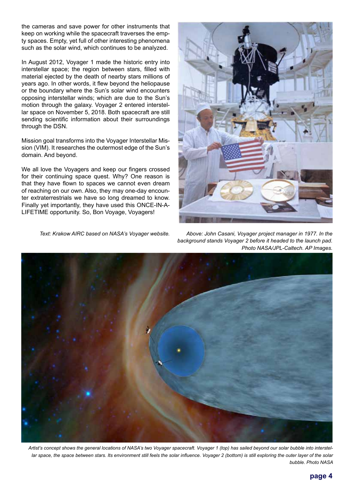the cameras and save power for other instruments that keep on working while the spacecraft traverses the empty spaces. Empty, yet full of other interesting phenomena such as the solar wind, which continues to be analyzed.

In August 2012, Voyager 1 made the historic entry into interstellar space; the region between stars, filled with material ejected by the death of nearby stars millions of years ago. In other words, it flew beyond the heliopause or the boundary where the Sun's solar wind encounters opposing interstellar winds; which are due to the Sun's motion through the galaxy. Voyager 2 entered interstellar space on November 5, 2018. Both spacecraft are still sending scientific information about their surroundings through the DSN.

Mission goal transforms into the Voyager Interstellar Mission (VIM). It researches the outermost edge of the Sun's domain. And beyond.

We all love the Voyagers and keep our fingers crossed for their continuing space quest. Why? One reason is that they have flown to spaces we cannot even dream of reaching on our own. Also, they may one-day encounter extraterrestrials we have so long dreamed to know. Finally yet importantly, they have used this ONCE-IN-A-LIFETIME opportunity. So, Bon Voyage, Voyagers!

*Text: Krakow AIRC based on NASA's Voyager website.*



*Above: John Casani, Voyager project manager in 1977. In the background stands Voyager 2 before it headed to the launch pad. Photo NASA/JPL-Caltech. AP Images.* 



*Artist's concept shows the general locations of NASA's two Voyager spacecraft. Voyager 1 (top) has sailed beyond our solar bubble into interstel*lar space, the space between stars. Its environment still feels the solar influence. Voyager 2 (bottom) is still exploring the outer layer of the solar *bubble. Photo NASA*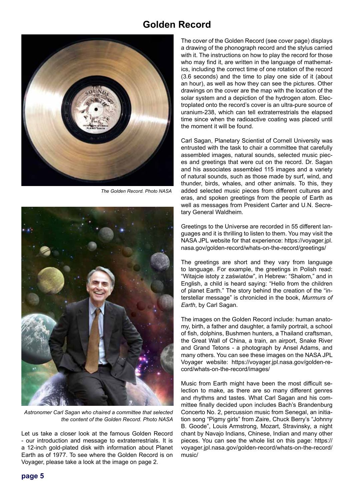#### **Golden Record**



*The Golden Record. Photo NASA*



*Astronomer Carl Sagan who chaired a committee that selected the content of the Golden Record. Photo NASA*

Let us take a closer look at the famous Golden Record - our introduction and message to extraterrestrials. It is a 12-inch gold-plated disk with information about Planet Earth as of 1977. To see where the Golden Record is on Voyager, please take a look at the image on page 2.

The cover of the Golden Record (see cover page) displays a drawing of the phonograph record and the stylus carried with it. The instructions on how to play the record for those who may find it, are written in the language of mathematics, including the correct time of one rotation of the record (3.6 seconds) and the time to play one side of it (about an hour), as well as how they can see the pictures. Other drawings on the cover are the map with the location of the solar system and a depiction of the hydrogen atom. Electroplated onto the record's cover is an ultra-pure source of uranium-238, which can tell extraterrestrials the elapsed time since when the radioactive coating was placed until the moment it will be found.

Carl Sagan, Planetary Scientist of Cornell University was entrusted with the task to chair a committee that carefully assembled images, natural sounds, selected music pieces and greetings that were cut on the record. Dr. Sagan and his associates assembled 115 images and a variety of natural sounds, such as those made by surf, wind, and thunder, birds, whales, and other animals. To this, they added selected music pieces from different cultures and eras, and spoken greetings from the people of Earth as well as messages from President Carter and U.N. Secretary General Waldheim.

Greetings to the Universe are recorded in 55 different languages and it is thrilling to listen to them. You may visit the NASA JPL website for that experience: https://voyager.jpl. nasa.gov/golden-record/whats-on-the-record/greetings/

The greetings are short and they vary from language to language. For example, the greetings in Polish read: "Witajcie istoty z zaświatów", in Hebrew: "Shalom," and in English, a child is heard saying: "Hello from the children of planet Earth." The story behind the creation of the "interstellar message" is chronicled in the book, *Murmurs of Earth*, by Carl Sagan.

The images on the Golden Record include: human anatomy, birth, a father and daughter, a family portrait, a school of fish, dolphins, Bushmen hunters, a Thailand craftsman, the Great Wall of China, a train, an airport, Snake River and Grand Tetons - a photograph by Ansel Adams, and many others. You can see these images on the NASA JPL Voyager website: https://voyager.jpl.nasa.gov/golden-record/whats-on-the-record/images/

Music from Earth might have been the most difficult selection to make, as there are so many different genres and rhythms and tastes. What Carl Sagan and his committee finally decided upon includes Bach's Brandenburg Concerto No. 2, percussion music from Senegal, an initiation song "Pigmy girls" from Zaire, Chuck Berry's "Johnny B. Goode", Louis Armstrong, Mozart, Stravinsky, a night chant by Navajo Indians, Chinese, Indian and many other pieces. You can see the whole list on this page: https:// voyager.jpl.nasa.gov/golden-record/whats-on-the-record/ music/

**page 5**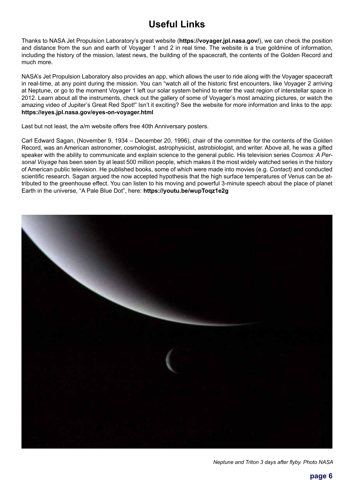## **Useful Links**

Thanks to NASA Jet Propulsion Laboratory's great website (**https://voyager.jpl.nasa.gov/**), we can check the position and distance from the sun and earth of Voyager 1 and 2 in real time. The website is a true goldmine of information, including the history of the mission, latest news, the building of the spacecraft, the contents of the Golden Record and much more.

NASA's Jet Propulsion Laboratory also provides an app, which allows the user to ride along with the Voyager spacecraft in real-time, at any point during the mission. You can "watch all of the historic first encounters, like Voyager 2 arriving at Neptune, or go to the moment Voyager 1 left our solar system behind to enter the vast region of interstellar space in 2012. Learn about all the instruments, check out the gallery of some of Voyager's most amazing pictures, or watch the amazing video of Jupiter's Great Red Spot!" Isn't it exciting? See the website for more information and links to the app: **https://eyes.jpl.nasa.gov/eyes-on-voyager.html**

Last but not least, the a/m website offers free 40th Anniversary posters.

Carl Edward Sagan, (November 9, 1934 – December 20, 1996), chair of the committee for the contents of the Golden Record, was an American astronomer, cosmologist, astrophysicist, astrobiologist, and writer. Above all, he was a gifted speaker with the ability to communicate and explain science to the general public. His television series *Cosmos: A Personal Voyage* has been seen by at least 500 million people, which makes it the most widely watched series in the history of American public television. He published books, some of which were made into movies (e.g. *Contact)* and conducted scientific research. Sagan argued the now accepted hypothesis that the high surface temperatures of Venus can be attributed to the greenhouse effect. You can listen to his moving and powerful 3-minute speech about the place of planet Earth in the universe, "A Pale Blue Dot", here: **https://youtu.be/wupToqz1e2g** 

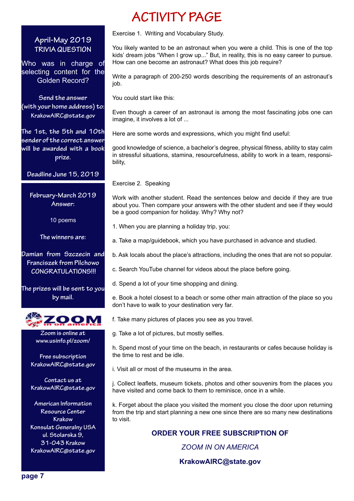#### **April-May 2019 TRIVIA QUESTION**

Who was in charge of selecting content for the Golden Record?

**Send the answer (with your home address) to: KrakowAIRC@state.gov**

**The 1st, the 5th and 10th sender of the correct answer will be awarded with a book prize.** 

**Deadline June 15, 2019**

**February-March 2019 Answer:** 

10 poems

**The winners are:**

**Damian from Szczecin and Franciszek from Pilchowo CONGRATULATIONS!!!**

**The prizes will be sent to you by mail.**



**Zoom is online at www.usinfo.pl/zoom/**

**Free subscription KrakowAIRC@state.gov**

**Contact us at KrakowAIRC@state.gov**

**American Information Resource Center Krakow Konsulat Generalny USA ul. Stolarska 9, 31-043 Krakow KrakowAIRC@state.gov**

## **ACTIVITY PAGE**

Exercise 1. Writing and Vocabulary Study.

You likely wanted to be an astronaut when you were a child. This is one of the top kids' dream jobs "When I grow up..." But, in reality, this is no easy career to pursue. How can one become an astronaut? What does this job require?

Write a paragraph of 200-250 words describing the requirements of an astronaut's iob.

You could start like this:

Even though a career of an astronaut is among the most fascinating jobs one can imagine, it involves a lot of ...

Here are some words and expressions, which you might find useful:

good knowledge of science, a bachelor's degree, physical fitness, ability to stay calm in stressful situations, stamina, resourcefulness, ability to work in a team, responsibility,

Exercise 2. Speaking

Work with another student. Read the sentences below and decide if they are true about you. Then compare your answers with the other student and see if they would be a good companion for holiday. Why? Why not?

- 1. When you are planning a holiday trip, you:
- a. Take a map/guidebook, which you have purchased in advance and studied.

b. Ask locals about the place's attractions, including the ones that are not so popular.

- c. Search YouTube channel for videos about the place before going.
- d. Spend a lot of your time shopping and dining.

e. Book a hotel closest to a beach or some other main attraction of the place so you don't have to walk to your destination very far.

f. Take many pictures of places you see as you travel.

g. Take a lot of pictures, but mostly selfies.

h. Spend most of your time on the beach, in restaurants or cafes because holiday is the time to rest and be idle.

i. Visit all or most of the museums in the area.

j. Collect leaflets, museum tickets, photos and other souvenirs from the places you have visited and come back to them to reminisce, once in a while.

k. Forget about the place you visited the moment you close the door upon returning from the trip and start planning a new one since there are so many new destinations to visit.

**ORDER YOUR FREE SUBSCRIPTION OF**

*ZOOM IN ON AMERICA*

**KrakowAIRC@state.gov**